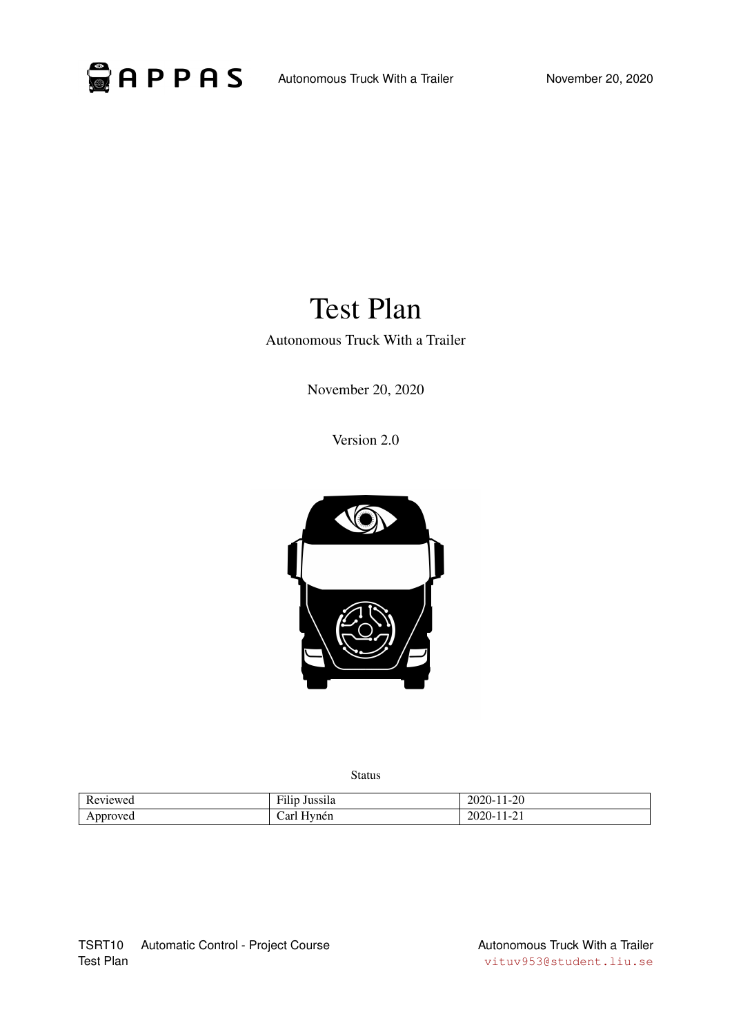

# Test Plan

Autonomous Truck With a Trailer

November 20, 2020

Version 2.0



Status

| D<br>viewed<br>. | $\overline{\phantom{a}}$<br>Jussila<br>1 1 1 1 | $\sim$<br>t-20<br>.<br>$\omega$<br>___ |
|------------------|------------------------------------------------|----------------------------------------|
| vu.<br>$1$ $\mu$ | $\mathbf{a}$ r<br>un≙r<br>11 U 11              | . .<br>.<br>∠∪<br>.                    |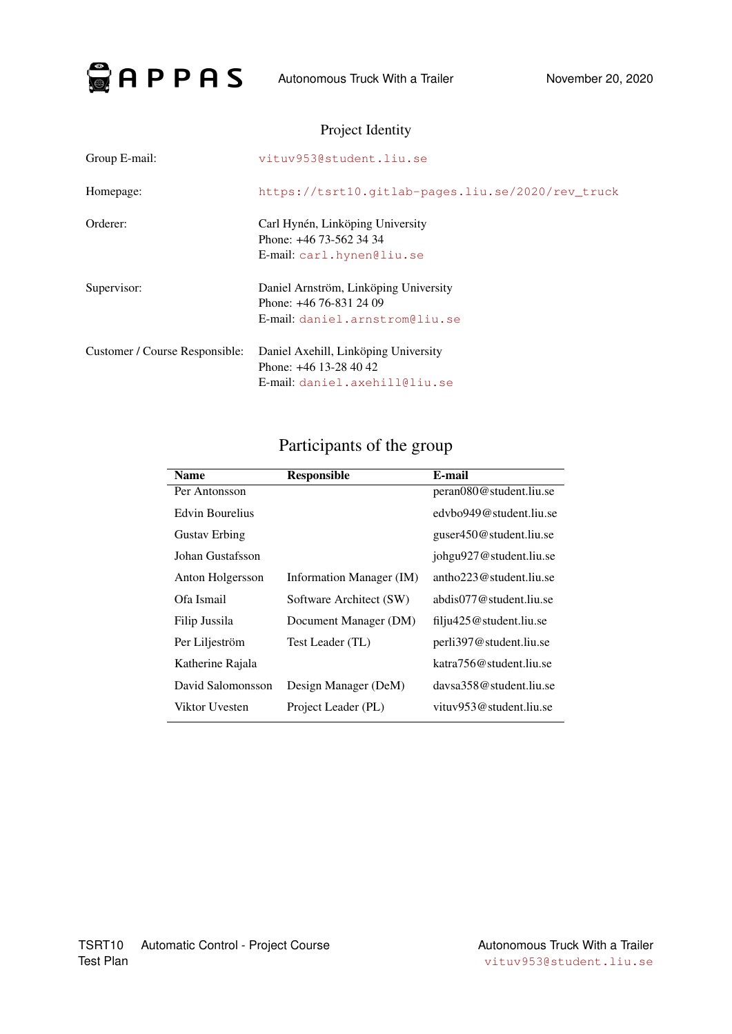

|                                | THUJUL TUUHII V                                                                                      |
|--------------------------------|------------------------------------------------------------------------------------------------------|
| Group E-mail:                  | vituv953@student.liu.se                                                                              |
| Homepage:                      | https://tsrt10.qitlab-pages.liu.se/2020/rev truck                                                    |
| Orderer:                       | Carl Hynén, Linköping University<br>Phone: +46 73-562 34 34<br>E-mail: carl.hynen@liu.se             |
| Supervisor:                    | Daniel Arnström, Linköping University<br>Phone: $+46$ 76-831 24 09<br>E-mail: daniel.arnstrom@liu.se |
| Customer / Course Responsible: | Daniel Axehill, Linköping University<br>Phone: $+46$ 13-28 40 42<br>E-mail: daniel.axehill@liu.se    |

#### Project Identity

# Participants of the group

| <b>Name</b>          | <b>Responsible</b>       | E-mail                      |
|----------------------|--------------------------|-----------------------------|
| Per Antonsson        |                          | peran080@student.liu.se     |
| Edvin Bourelius      |                          | edybo949@student.liu.se     |
| <b>Gustav Erbing</b> |                          | guser450@student.liu.se     |
| Johan Gustafsson     |                          | johgu927@student.liu.se     |
| Anton Holgersson     | Information Manager (IM) | antho $223@$ student.liu.se |
| Ofa Ismail           | Software Architect (SW)  | abdis077@student.liu.se     |
| Filip Jussila        | Document Manager (DM)    | filju425@student.liu.se     |
| Per Liljeström       | Test Leader (TL)         | perli397@student.liu.se     |
| Katherine Rajala     |                          | katra 756@student.liu.se    |
| David Salomonsson    | Design Manager (DeM)     | davs358@student.liu.se      |
| Viktor Uvesten       | Project Leader (PL)      | vituv $953$ @student.liu.se |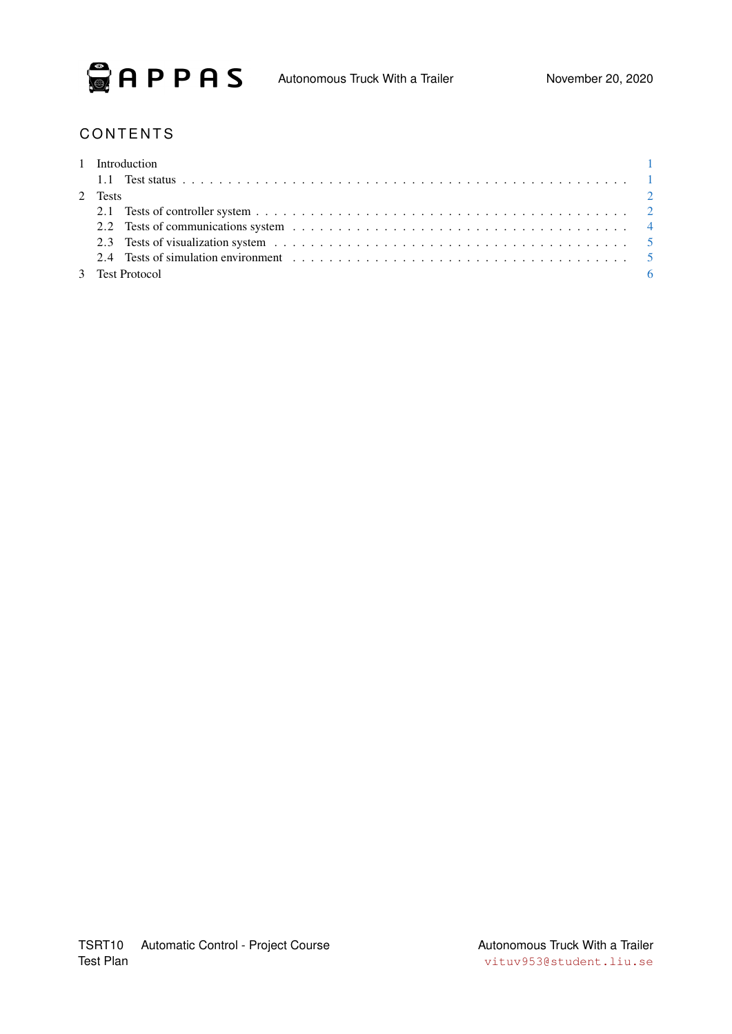

## **CONTENTS**

| 1 Introduction      |  |
|---------------------|--|
|                     |  |
| $\sim$ 2<br>2 Tests |  |
|                     |  |
|                     |  |
|                     |  |
|                     |  |
| 3 Test Protocol     |  |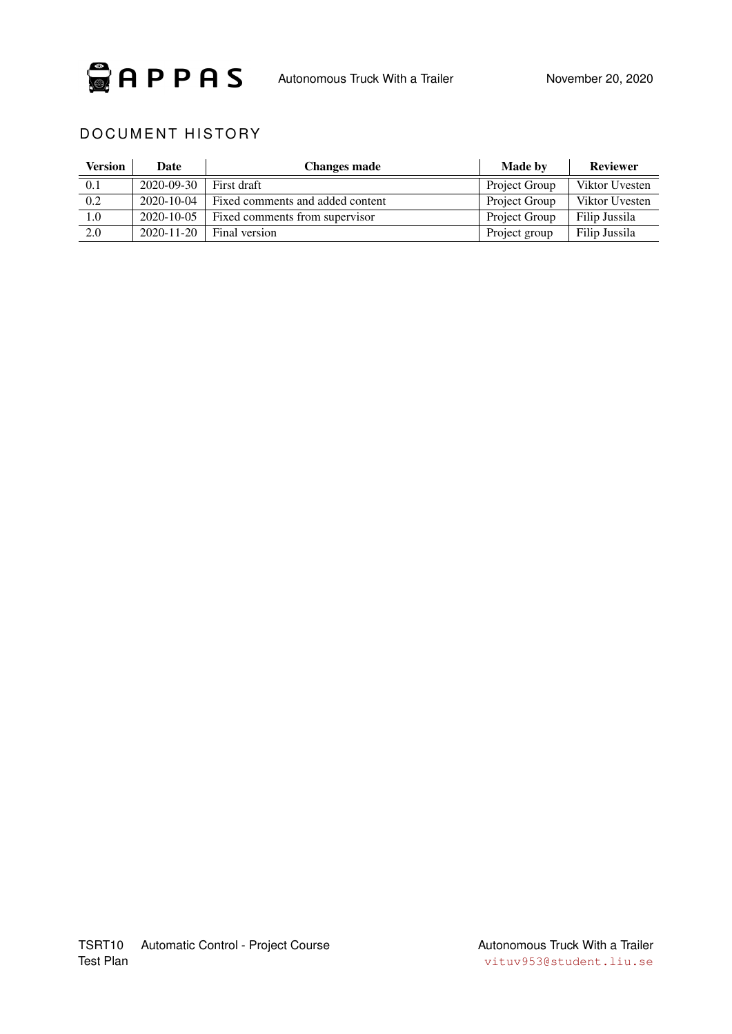

### DOCUMENT HISTORY

| <b>Version</b> | Date              | <b>Changes made</b>              | <b>Made by</b> | <b>Reviewer</b> |
|----------------|-------------------|----------------------------------|----------------|-----------------|
| 0.1            | 2020-09-30        | First draft                      | Project Group  | Viktor Uvesten  |
| 0.2            | $2020 - 10 - 04$  | Fixed comments and added content | Project Group  | Viktor Uvesten  |
| 1.0            | $2020 - 10 - 0.5$ | Fixed comments from supervisor   | Project Group  | Filip Jussila   |
| 2.0            | $2020 - 11 - 20$  | Final version                    | Project group  | Filip Jussila   |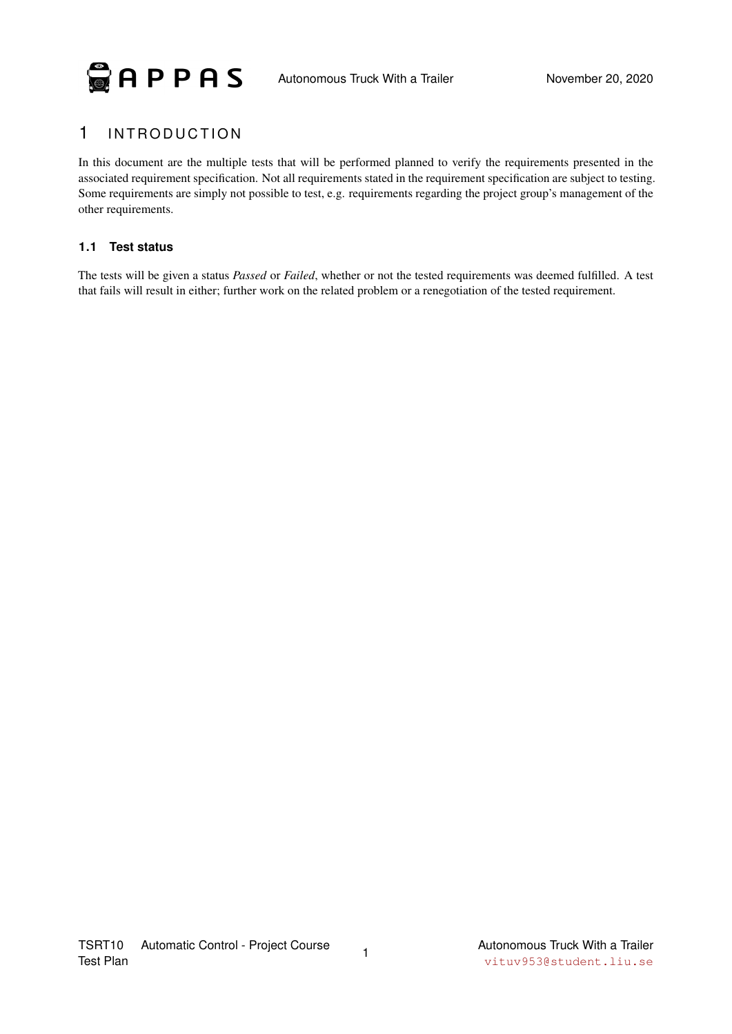

## <span id="page-4-0"></span>1 INTRODUCTION

In this document are the multiple tests that will be performed planned to verify the requirements presented in the associated requirement specification. Not all requirements stated in the requirement specification are subject to testing. Some requirements are simply not possible to test, e.g. requirements regarding the project group's management of the other requirements.

#### <span id="page-4-1"></span>**1.1 Test status**

The tests will be given a status *Passed* or *Failed*, whether or not the tested requirements was deemed fulfilled. A test that fails will result in either; further work on the related problem or a renegotiation of the tested requirement.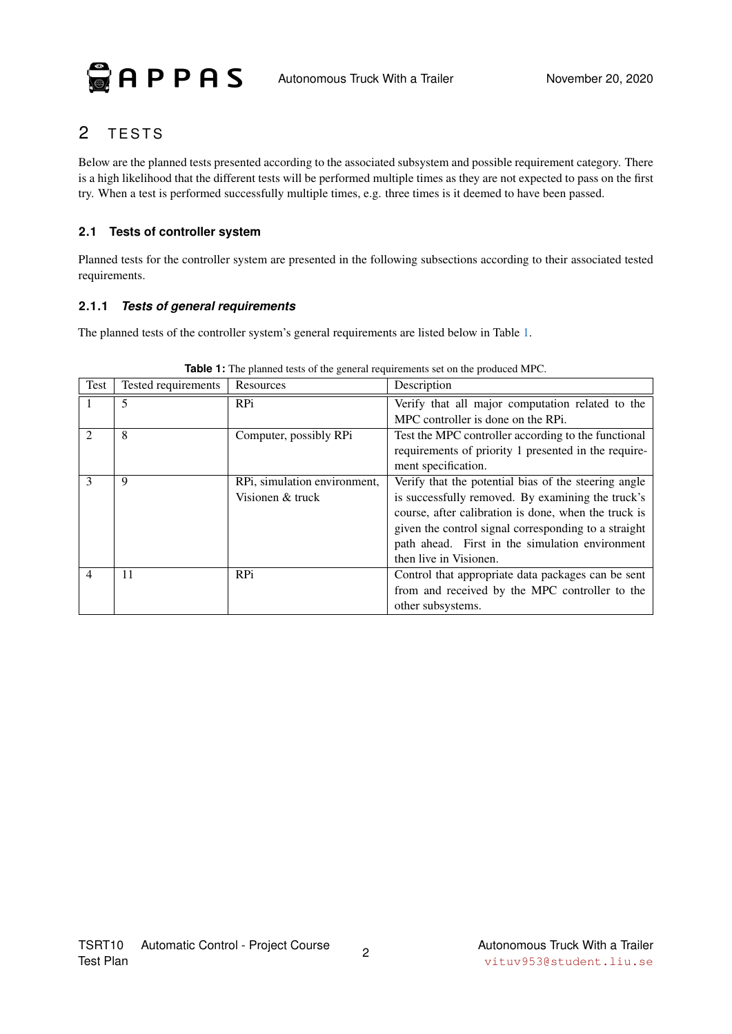# <span id="page-5-0"></span>2 TESTS

Below are the planned tests presented according to the associated subsystem and possible requirement category. There is a high likelihood that the different tests will be performed multiple times as they are not expected to pass on the first try. When a test is performed successfully multiple times, e.g. three times is it deemed to have been passed.

#### <span id="page-5-1"></span>**2.1 Tests of controller system**

 $\odot$  APPAS

Planned tests for the controller system are presented in the following subsections according to their associated tested requirements.

#### **2.1.1** *Tests of general requirements*

The planned tests of the controller system's general requirements are listed below in Table [1.](#page-5-2)

<span id="page-5-2"></span>

| Test                        | Tested requirements | Resources                    | Description                                          |
|-----------------------------|---------------------|------------------------------|------------------------------------------------------|
|                             | 5                   | <b>RPi</b>                   | Verify that all major computation related to the     |
|                             |                     |                              | MPC controller is done on the RPi.                   |
| $\mathcal{D}_{\mathcal{L}}$ | 8                   | Computer, possibly RPi       | Test the MPC controller according to the functional  |
|                             |                     |                              | requirements of priority 1 presented in the require- |
|                             |                     |                              | ment specification.                                  |
| 3                           | 9                   | RPi, simulation environment, | Verify that the potential bias of the steering angle |
|                             |                     | Visionen & truck             | is successfully removed. By examining the truck's    |
|                             |                     |                              | course, after calibration is done, when the truck is |
|                             |                     |                              | given the control signal corresponding to a straight |
|                             |                     |                              | path ahead. First in the simulation environment      |
|                             |                     |                              | then live in Visionen.                               |
| $\overline{4}$              | 11                  | <b>RPi</b>                   | Control that appropriate data packages can be sent   |
|                             |                     |                              | from and received by the MPC controller to the       |
|                             |                     |                              | other subsystems.                                    |

**Table 1:** The planned tests of the general requirements set on the produced MPC.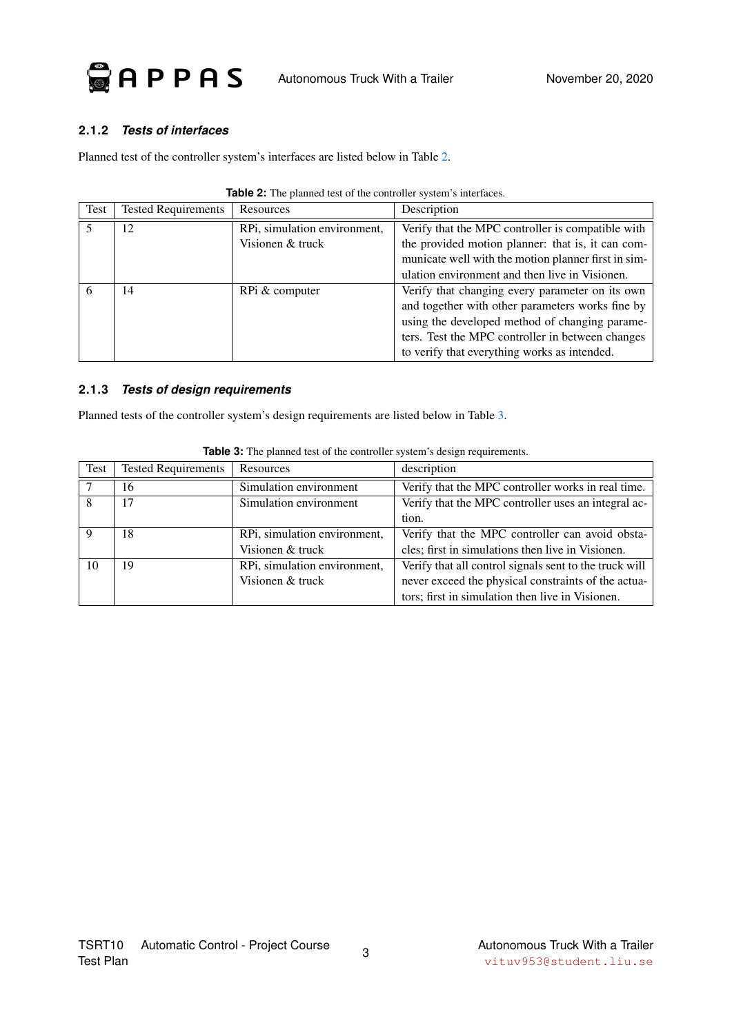

#### **2.1.2** *Tests of interfaces*

Planned test of the controller system's interfaces are listed below in Table [2.](#page-6-0)

| Test | <b>Tested Requirements</b> | Resources                    | Description                                         |
|------|----------------------------|------------------------------|-----------------------------------------------------|
|      | 12                         | RPi, simulation environment, | Verify that the MPC controller is compatible with   |
|      |                            | Visionen & truck             | the provided motion planner: that is, it can com-   |
|      |                            |                              | municate well with the motion planner first in sim- |
|      |                            |                              | ulation environment and then live in Visionen.      |
| - 6  | 14                         | RPi & computer               | Verify that changing every parameter on its own     |
|      |                            |                              | and together with other parameters works fine by    |
|      |                            |                              | using the developed method of changing parame-      |
|      |                            |                              | ters. Test the MPC controller in between changes    |
|      |                            |                              | to verify that everything works as intended.        |

| <b>Table 2:</b> The planned test of the controller system's interfaces. |  |
|-------------------------------------------------------------------------|--|
|-------------------------------------------------------------------------|--|

#### <span id="page-6-0"></span>**2.1.3** *Tests of design requirements*

Planned tests of the controller system's design requirements are listed below in Table [3.](#page-6-1)

<span id="page-6-1"></span>

| Test     | <b>Tested Requirements</b> | Resources                    | description                                            |
|----------|----------------------------|------------------------------|--------------------------------------------------------|
|          | 16                         | Simulation environment       | Verify that the MPC controller works in real time.     |
| 8        | 17                         | Simulation environment       | Verify that the MPC controller uses an integral ac-    |
|          |                            |                              | tion.                                                  |
| $\Omega$ | 18                         | RPi, simulation environment, | Verify that the MPC controller can avoid obsta-        |
|          |                            | Visionen & truck             | cles; first in simulations then live in Visionen.      |
| 10       | 19                         | RPi, simulation environment, | Verify that all control signals sent to the truck will |
|          |                            | Visionen & truck             | never exceed the physical constraints of the actua-    |
|          |                            |                              | tors; first in simulation then live in Visionen.       |

**Table 3:** The planned test of the controller system's design requirements.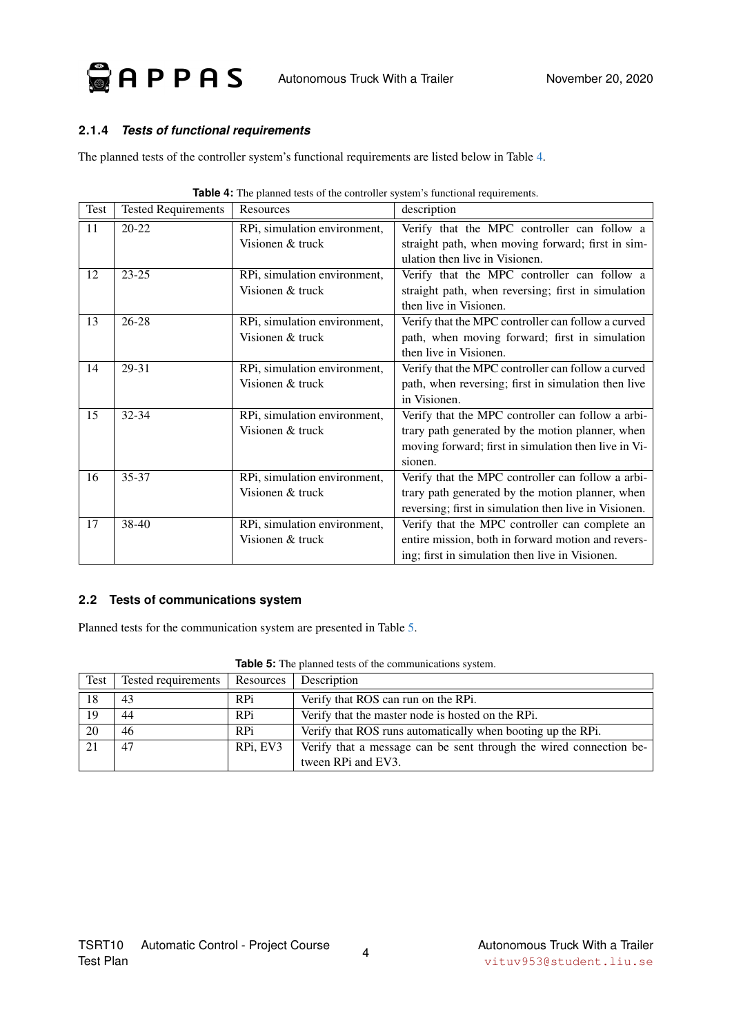

#### **2.1.4** *Tests of functional requirements*

The planned tests of the controller system's functional requirements are listed below in Table [4.](#page-7-1)

| <b>Test</b> | <b>Tested Requirements</b> | Resources                                        | description                                                                                                                                                              |
|-------------|----------------------------|--------------------------------------------------|--------------------------------------------------------------------------------------------------------------------------------------------------------------------------|
| 11          | $20 - 22$                  | RPi, simulation environment,<br>Visionen & truck | Verify that the MPC controller can follow a<br>straight path, when moving forward; first in sim-<br>ulation then live in Visionen.                                       |
| 12          | $23 - 25$                  | RPi, simulation environment,<br>Visionen & truck | Verify that the MPC controller can follow a<br>straight path, when reversing; first in simulation<br>then live in Visionen.                                              |
| 13          | $26 - 28$                  | RPi, simulation environment,<br>Visionen & truck | Verify that the MPC controller can follow a curved<br>path, when moving forward; first in simulation<br>then live in Visionen.                                           |
| 14          | 29-31                      | RPi, simulation environment,<br>Visionen & truck | Verify that the MPC controller can follow a curved<br>path, when reversing; first in simulation then live<br>in Visionen.                                                |
| 15          | $32 - 34$                  | RPi, simulation environment,<br>Visionen & truck | Verify that the MPC controller can follow a arbi-<br>trary path generated by the motion planner, when<br>moving forward; first in simulation then live in Vi-<br>sionen. |
| 16          | 35-37                      | RPi, simulation environment,<br>Visionen & truck | Verify that the MPC controller can follow a arbi-<br>trary path generated by the motion planner, when<br>reversing; first in simulation then live in Visionen.           |
| 17          | 38-40                      | RPi, simulation environment,<br>Visionen & truck | Verify that the MPC controller can complete an<br>entire mission, both in forward motion and revers-<br>ing; first in simulation then live in Visionen.                  |

|  | <b>Table 4:</b> The planned tests of the controller system's functional requirements. |  |
|--|---------------------------------------------------------------------------------------|--|
|--|---------------------------------------------------------------------------------------|--|

#### <span id="page-7-1"></span><span id="page-7-0"></span>**2.2 Tests of communications system**

Planned tests for the communication system are presented in Table [5.](#page-7-2)

<span id="page-7-2"></span>

| Test | Tested requirements | Resources       | Description                                                        |
|------|---------------------|-----------------|--------------------------------------------------------------------|
| 18   | 43                  | <b>RPi</b>      | Verify that ROS can run on the RPi.                                |
| 19   | 44                  | RP <sub>i</sub> | Verify that the master node is hosted on the RPi.                  |
| 20   | 46                  | RP <sub>i</sub> | Verify that ROS runs automatically when booting up the RPi.        |
| 21   | 47                  | RPi. EV3        | Verify that a message can be sent through the wired connection be- |
|      |                     |                 | tween RPi and EV3.                                                 |

| <b>Table 5:</b> The planned tests of the communications system. |  |
|-----------------------------------------------------------------|--|
|-----------------------------------------------------------------|--|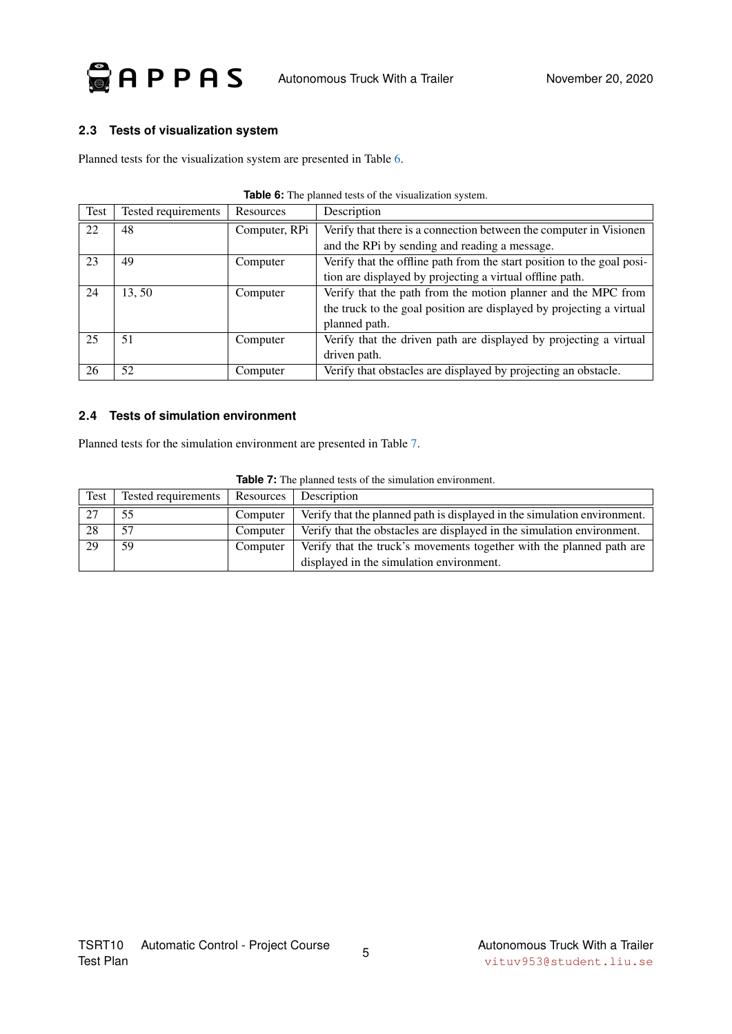

#### <span id="page-8-0"></span>**2.3 Tests of visualization system**

Planned tests for the visualization system are presented in Table [6.](#page-8-2)

| Test | Tested requirements | Resources     | Description                                                            |
|------|---------------------|---------------|------------------------------------------------------------------------|
| 22   | 48                  | Computer, RPi | Verify that there is a connection between the computer in Visionen     |
|      |                     |               | and the RPi by sending and reading a message.                          |
| 23   | 49                  | Computer      | Verify that the offline path from the start position to the goal posi- |
|      |                     |               | tion are displayed by projecting a virtual offline path.               |
| 24   | 13, 50              | Computer      | Verify that the path from the motion planner and the MPC from          |
|      |                     |               | the truck to the goal position are displayed by projecting a virtual   |
|      |                     |               | planned path.                                                          |
| 25   | 51                  | Computer      | Verify that the driven path are displayed by projecting a virtual      |
|      |                     |               | driven path.                                                           |
| 26   | 52                  | Computer      | Verify that obstacles are displayed by projecting an obstacle.         |

| <b>Table 6:</b> The planned tests of the visualization system. |  |  |  |  |
|----------------------------------------------------------------|--|--|--|--|
|----------------------------------------------------------------|--|--|--|--|

#### <span id="page-8-2"></span><span id="page-8-1"></span>**2.4 Tests of simulation environment**

Planned tests for the simulation environment are presented in Table [7.](#page-8-3)

<span id="page-8-3"></span>

| <b>Test</b> | Tested requirements   Resources |          | Description                                                              |
|-------------|---------------------------------|----------|--------------------------------------------------------------------------|
|             | 55                              | Computer | Verify that the planned path is displayed in the simulation environment. |
| 28          | 57                              | Computer | Verify that the obstacles are displayed in the simulation environment.   |
| 29          | 59                              | Computer | Verify that the truck's movements together with the planned path are     |
|             |                                 |          | displayed in the simulation environment.                                 |

#### **Table 7:** The planned tests of the simulation environment.